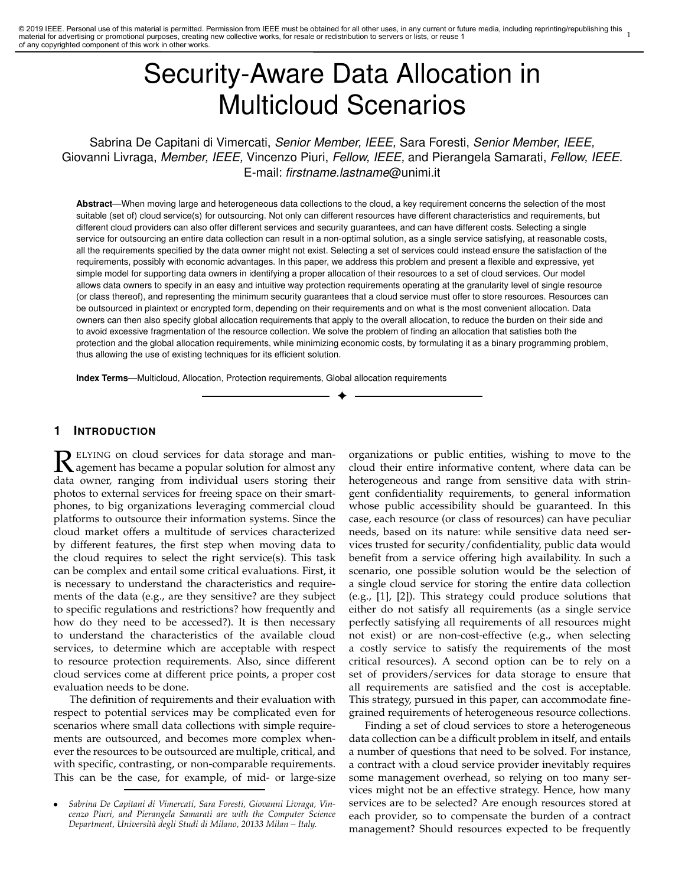1 © 2019 IEEE. Personal use of this material is permitted. Permission from IEEE must be obtained for all other uses, in any current or future media, including reprinting/republishing this material for advertising or promotional purposes, creating new collective works, for resale or redistribution to servers or lists, or reuse 1 of any copyrighted component of this work in other works.

# Security-Aware Data Allocation in Multicloud Scenarios

Sabrina De Capitani di Vimercati, *Senior Member, IEEE,* Sara Foresti, *Senior Member, IEEE,* Giovanni Livraga, *Member, IEEE,* Vincenzo Piuri, *Fellow, IEEE,* and Pierangela Samarati, *Fellow, IEEE.* E-mail: *firstname.lastname*@unimi.it

**Abstract**—When moving large and heterogeneous data collections to the cloud, a key requirement concerns the selection of the most suitable (set of) cloud service(s) for outsourcing. Not only can different resources have different characteristics and requirements, but different cloud providers can also offer different services and security guarantees, and can have different costs. Selecting a single service for outsourcing an entire data collection can result in a non-optimal solution, as a single service satisfying, at reasonable costs, all the requirements specified by the data owner might not exist. Selecting a set of services could instead ensure the satisfaction of the requirements, possibly with economic advantages. In this paper, we address this problem and present a flexible and expressive, yet simple model for supporting data owners in identifying a proper allocation of their resources to a set of cloud services. Our model allows data owners to specify in an easy and intuitive way protection requirements operating at the granularity level of single resource (or class thereof), and representing the minimum security guarantees that a cloud service must offer to store resources. Resources can be outsourced in plaintext or encrypted form, depending on their requirements and on what is the most convenient allocation. Data owners can then also specify global allocation requirements that apply to the overall allocation, to reduce the burden on their side and to avoid excessive fragmentation of the resource collection. We solve the problem of finding an allocation that satisfies both the protection and the global allocation requirements, while minimizing economic costs, by formulating it as a binary programming problem, thus allowing the use of existing techniques for its efficient solution.

✦

**Index Terms**—Multicloud, Allocation, Protection requirements, Global allocation requirements

# **1 INTRODUCTION**

**R** ELYING on cloud services for data storage and man-<br>agement has became a popular solution for almost any<br>data owner, ranging from individual were storing their agement has became a popular solution for almost any data owner, ranging from individual users storing their photos to external services for freeing space on their smartphones, to big organizations leveraging commercial cloud platforms to outsource their information systems. Since the cloud market offers a multitude of services characterized by different features, the first step when moving data to the cloud requires to select the right service(s). This task can be complex and entail some critical evaluations. First, it is necessary to understand the characteristics and requirements of the data (e.g., are they sensitive? are they subject to specific regulations and restrictions? how frequently and how do they need to be accessed?). It is then necessary to understand the characteristics of the available cloud services, to determine which are acceptable with respect to resource protection requirements. Also, since different cloud services come at different price points, a proper cost evaluation needs to be done.

The definition of requirements and their evaluation with respect to potential services may be complicated even for scenarios where small data collections with simple requirements are outsourced, and becomes more complex whenever the resources to be outsourced are multiple, critical, and with specific, contrasting, or non-comparable requirements. This can be the case, for example, of mid- or large-size organizations or public entities, wishing to move to the cloud their entire informative content, where data can be heterogeneous and range from sensitive data with stringent confidentiality requirements, to general information whose public accessibility should be guaranteed. In this case, each resource (or class of resources) can have peculiar needs, based on its nature: while sensitive data need services trusted for security/confidentiality, public data would benefit from a service offering high availability. In such a scenario, one possible solution would be the selection of a single cloud service for storing the entire data collection (e.g., [1], [2]). This strategy could produce solutions that either do not satisfy all requirements (as a single service perfectly satisfying all requirements of all resources might not exist) or are non-cost-effective (e.g., when selecting a costly service to satisfy the requirements of the most critical resources). A second option can be to rely on a set of providers/services for data storage to ensure that all requirements are satisfied and the cost is acceptable. This strategy, pursued in this paper, can accommodate finegrained requirements of heterogeneous resource collections.

Finding a set of cloud services to store a heterogeneous data collection can be a difficult problem in itself, and entails a number of questions that need to be solved. For instance, a contract with a cloud service provider inevitably requires some management overhead, so relying on too many services might not be an effective strategy. Hence, how many services are to be selected? Are enough resources stored at each provider, so to compensate the burden of a contract management? Should resources expected to be frequently

<sup>•</sup> *Sabrina De Capitani di Vimercati, Sara Foresti, Giovanni Livraga, Vincenzo Piuri, and Pierangela Samarati are with the Computer Science Department, Universit`a degli Studi di Milano, 20133 Milan – Italy.*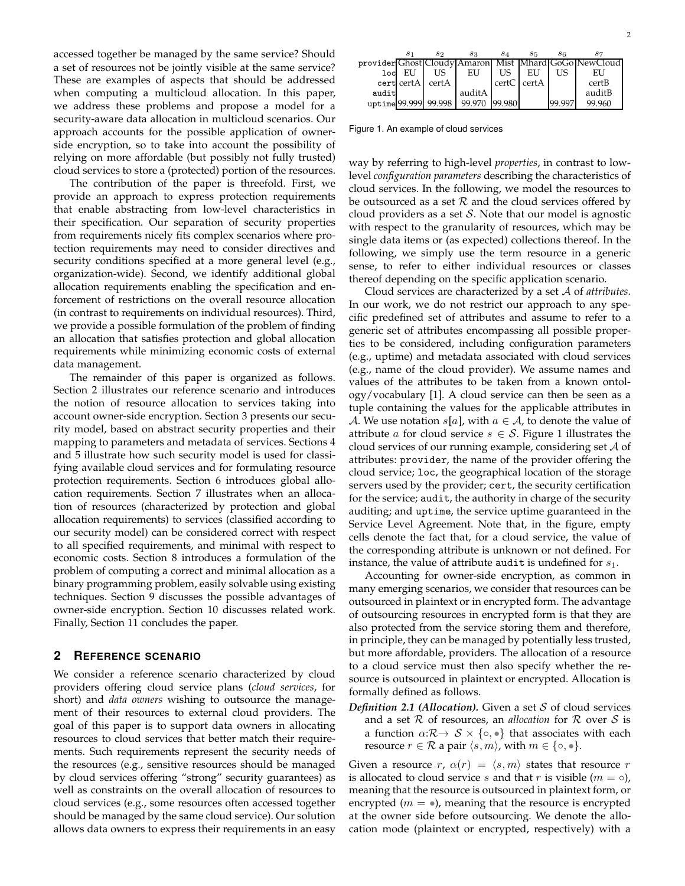accessed together be managed by the same service? Should a set of resources not be jointly visible at the same service? These are examples of aspects that should be addressed when computing a multicloud allocation. In this paper, we address these problems and propose a model for a security-aware data allocation in multicloud scenarios. Our approach accounts for the possible application of ownerside encryption, so to take into account the possibility of relying on more affordable (but possibly not fully trusted) cloud services to store a (protected) portion of the resources.

The contribution of the paper is threefold. First, we provide an approach to express protection requirements that enable abstracting from low-level characteristics in their specification. Our separation of security properties from requirements nicely fits complex scenarios where protection requirements may need to consider directives and security conditions specified at a more general level (e.g., organization-wide). Second, we identify additional global allocation requirements enabling the specification and enforcement of restrictions on the overall resource allocation (in contrast to requirements on individual resources). Third, we provide a possible formulation of the problem of finding an allocation that satisfies protection and global allocation requirements while minimizing economic costs of external data management.

The remainder of this paper is organized as follows. Section 2 illustrates our reference scenario and introduces the notion of resource allocation to services taking into account owner-side encryption. Section 3 presents our security model, based on abstract security properties and their mapping to parameters and metadata of services. Sections 4 and 5 illustrate how such security model is used for classifying available cloud services and for formulating resource protection requirements. Section 6 introduces global allocation requirements. Section 7 illustrates when an allocation of resources (characterized by protection and global allocation requirements) to services (classified according to our security model) can be considered correct with respect to all specified requirements, and minimal with respect to economic costs. Section 8 introduces a formulation of the problem of computing a correct and minimal allocation as a binary programming problem, easily solvable using existing techniques. Section 9 discusses the possible advantages of owner-side encryption. Section 10 discusses related work. Finally, Section 11 concludes the paper.

## **2 REFERENCE SCENARIO**

We consider a reference scenario characterized by cloud providers offering cloud service plans (*cloud services*, for short) and *data owners* wishing to outsource the management of their resources to external cloud providers. The goal of this paper is to support data owners in allocating resources to cloud services that better match their requirements. Such requirements represent the security needs of the resources (e.g., sensitive resources should be managed by cloud services offering "strong" security guarantees) as well as constraints on the overall allocation of resources to cloud services (e.g., some resources often accessed together should be managed by the same cloud service). Our solution allows data owners to express their requirements in an easy

|       | S9<br>83   |                      |        |        |             |        |                                                            |
|-------|------------|----------------------|--------|--------|-------------|--------|------------------------------------------------------------|
|       |            |                      |        |        |             |        | provider Ghost Cloudy Amaron   Mist   Mhard GoGo New Cloud |
| loc   | - EU       |                      | EU     | US     | EU          | US     | EU                                                         |
|       | cert certA | certA                |        |        | certC certA |        | certB                                                      |
| audit |            |                      | auditA |        |             |        | auditB                                                     |
|       |            | uptime 99.999 99.998 | 99.970 | 99.980 |             | 99.997 | 99.960                                                     |

Figure 1. An example of cloud services

way by referring to high-level *properties*, in contrast to lowlevel *configuration parameters* describing the characteristics of cloud services. In the following, we model the resources to be outsourced as a set  $R$  and the cloud services offered by cloud providers as a set  $S$ . Note that our model is agnostic with respect to the granularity of resources, which may be single data items or (as expected) collections thereof. In the following, we simply use the term resource in a generic sense, to refer to either individual resources or classes thereof depending on the specific application scenario.

Cloud services are characterized by a set A of *attributes*. In our work, we do not restrict our approach to any specific predefined set of attributes and assume to refer to a generic set of attributes encompassing all possible properties to be considered, including configuration parameters (e.g., uptime) and metadata associated with cloud services (e.g., name of the cloud provider). We assume names and values of the attributes to be taken from a known ontology/vocabulary [1]. A cloud service can then be seen as a tuple containing the values for the applicable attributes in A. We use notation s[a], with  $a \in \mathcal{A}$ , to denote the value of attribute a for cloud service  $s \in S$ . Figure 1 illustrates the cloud services of our running example, considering set  $A$  of attributes: provider, the name of the provider offering the cloud service; loc, the geographical location of the storage servers used by the provider; cert, the security certification for the service; audit, the authority in charge of the security auditing; and uptime, the service uptime guaranteed in the Service Level Agreement. Note that, in the figure, empty cells denote the fact that, for a cloud service, the value of the corresponding attribute is unknown or not defined. For instance, the value of attribute audit is undefined for  $s_1$ .

Accounting for owner-side encryption, as common in many emerging scenarios, we consider that resources can be outsourced in plaintext or in encrypted form. The advantage of outsourcing resources in encrypted form is that they are also protected from the service storing them and therefore, in principle, they can be managed by potentially less trusted, but more affordable, providers. The allocation of a resource to a cloud service must then also specify whether the resource is outsourced in plaintext or encrypted. Allocation is formally defined as follows.

*Definition 2.1 (Allocation).* Given a set  $S$  of cloud services and a set  $R$  of resources, an *allocation* for  $R$  over  $S$  is a function  $\alpha: \mathcal{R} \to \mathcal{S} \times \{ \circ, \bullet \}$  that associates with each resource  $r \in \mathcal{R}$  a pair  $\langle s, m \rangle$ , with  $m \in \{ \circ, \bullet \}.$ 

Given a resource r,  $\alpha(r) = \langle s, m \rangle$  states that resource r is allocated to cloud service s and that r is visible  $(m = \circ)$ , meaning that the resource is outsourced in plaintext form, or encrypted ( $m = \bullet$ ), meaning that the resource is encrypted at the owner side before outsourcing. We denote the allocation mode (plaintext or encrypted, respectively) with a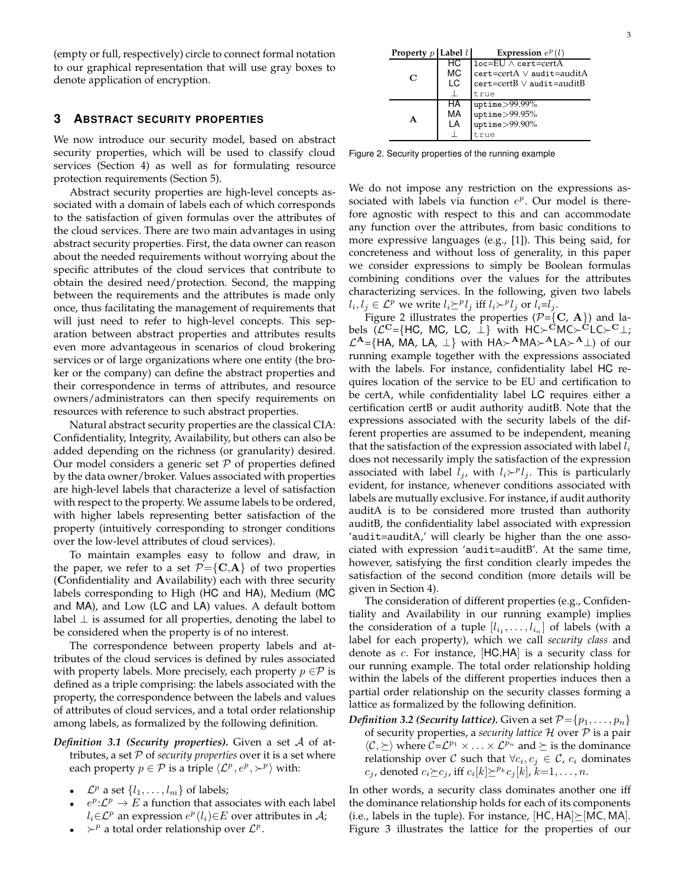(empty or full, respectively) circle to connect formal notation to our graphical representation that will use gray boxes to denote application of encryption.

## **3 ABSTRACT SECURITY PROPERTIES**

We now introduce our security model, based on abstract security properties, which will be used to classify cloud services (Section 4) as well as for formulating resource protection requirements (Section 5).

Abstract security properties are high-level concepts associated with a domain of labels each of which corresponds to the satisfaction of given formulas over the attributes of the cloud services. There are two main advantages in using abstract security properties. First, the data owner can reason about the needed requirements without worrying about the specific attributes of the cloud services that contribute to obtain the desired need/protection. Second, the mapping between the requirements and the attributes is made only once, thus facilitating the management of requirements that will just need to refer to high-level concepts. This separation between abstract properties and attributes results even more advantageous in scenarios of cloud brokering services or of large organizations where one entity (the broker or the company) can define the abstract properties and their correspondence in terms of attributes, and resource owners/administrators can then specify requirements on resources with reference to such abstract properties.

Natural abstract security properties are the classical CIA: Confidentiality, Integrity, Availability, but others can also be added depending on the richness (or granularity) desired. Our model considers a generic set  $P$  of properties defined by the data owner/broker. Values associated with properties are high-level labels that characterize a level of satisfaction with respect to the property. We assume labels to be ordered, with higher labels representing better satisfaction of the property (intuitively corresponding to stronger conditions over the low-level attributes of cloud services).

To maintain examples easy to follow and draw, in the paper, we refer to a set  $P = \{C, A\}$  of two properties (Confidentiality and Availability) each with three security labels corresponding to High (HC and HA), Medium (MC and MA), and Low (LC and LA) values. A default bottom label  $\perp$  is assumed for all properties, denoting the label to be considered when the property is of no interest.

The correspondence between property labels and attributes of the cloud services is defined by rules associated with property labels. More precisely, each property  $p \in \mathcal{P}$  is defined as a triple comprising: the labels associated with the property, the correspondence between the labels and values of attributes of cloud services, and a total order relationship among labels, as formalized by the following definition.

- *Definition 3.1 (Security properties).* Given a set A of attributes, a set P of *security properties* over it is a set where each property  $p \in \mathcal{P}$  is a triple  $\langle \mathcal{L}^p, e^p, \succ^p \rangle$  with:
	- $\mathcal{L}^p$  a set  $\{l_1, \ldots, l_m\}$  of labels;
	- $e^p:\mathcal{L}^p\to E$  a function that associates with each label  $l_i ∈ L^p$  an expression  $e^p(l_i) ∈ E$  over attributes in  $A$ ;
	- $\succ^p$  a total order relationship over  $\mathcal{L}^p$ .

**Property** *p* **Label** *l*  $P(l)$ C  $\text{HC}$   $\vert$  loc=EU  $\land$  cert=certA<br>MC  $\vert$  cert=certA  $\lor$  audit=a MC  $\begin{array}{|l|}\n\text{C} & \text{cert} = \text{cert} \vee \text{ audit} = \text{audit} \\
\text{C} & \text{cert} = \text{cert} \vee \text{ audit} = \text{audit}\n\end{array}$ cert=certB ∨ audit=auditB ⊥ true<br>**HA** uptii A  $uptime > 99.99\%$ MA uptime>99.95%<br>LA uptime>99.90%  $uptime > 99.90\%$ ⊥ true

Figure 2. Security properties of the running example

We do not impose any restriction on the expressions associated with labels via function  $e^p$ . Our model is therefore agnostic with respect to this and can accommodate any function over the attributes, from basic conditions to more expressive languages (e.g., [1]). This being said, for concreteness and without loss of generality, in this paper we consider expressions to simply be Boolean formulas combining conditions over the values for the attributes characterizing services. In the following, given two labels  $l_i, l_j \in \mathcal{L}^p$  we write  $l_i \succeq^p l_j$  iff  $l_i \succ^p l_j$  or  $l_i = l_j$ .

Figure 2 illustrates the properties ( $P = \{C, A\}$ ) and labels  $\check{(L}^{\bf C}=\{HC, MC, LC, \perp\}$  with  $HC\succ^{\dot{C}}MC\succ^{\dot{C}}LC\succ^{\bf C}\perp;$  $\mathcal{L}^{\mathbf{A}} = \{HA, MA, LA, \perp\}$  with  $HA \rightarrow^{A} MA \rightarrow^{A}LA \rightarrow^{A} \perp$  of our running example together with the expressions associated with the labels. For instance, confidentiality label HC requires location of the service to be EU and certification to be certA, while confidentiality label LC requires either a certification certB or audit authority auditB. Note that the expressions associated with the security labels of the different properties are assumed to be independent, meaning that the satisfaction of the expression associated with label  $l_i$ does not necessarily imply the satisfaction of the expression associated with label  $l_j$ , with  $l_i \succ^p l_j$ . This is particularly evident, for instance, whenever conditions associated with labels are mutually exclusive. For instance, if audit authority auditA is to be considered more trusted than authority auditB, the confidentiality label associated with expression 'audit=auditA,' will clearly be higher than the one associated with expression 'audit=auditB'. At the same time, however, satisfying the first condition clearly impedes the satisfaction of the second condition (more details will be given in Section 4).

The consideration of different properties (e.g., Confidentiality and Availability in our running example) implies the consideration of a tuple  $[l_{i_1}, \ldots, l_{i_n}]$  of labels (with a label for each property), which we call *security class* and denote as c. For instance, [HC,HA] is a security class for our running example. The total order relationship holding within the labels of the different properties induces then a partial order relationship on the security classes forming a lattice as formalized by the following definition.

*Definition 3.2 (Security lattice).* Given a set  $\mathcal{P} = \{p_1, \ldots, p_n\}$ of security properties, a *security lattice* H over P is a pair  $\langle C, \succeq \rangle$  where  $\mathcal{C} = \mathcal{L}^{p_1} \times \ldots \times \mathcal{L}^{p_n}$  and  $\succeq$  is the dominance relationship over  $\mathcal C$  such that  $\forall c_i, c_j \in \mathcal C$ ,  $c_i$  dominates  $c_j$ , denoted  $c_i \succeq c_j$ , iff  $c_i[k] \succeq^{p_k} c_j[k]$ ,  $k=1,\ldots,n$ .

In other words, a security class dominates another one iff the dominance relationship holds for each of its components (i.e., labels in the tuple). For instance,  $[HC, HA] \geq [MC, MA]$ . Figure 3 illustrates the lattice for the properties of our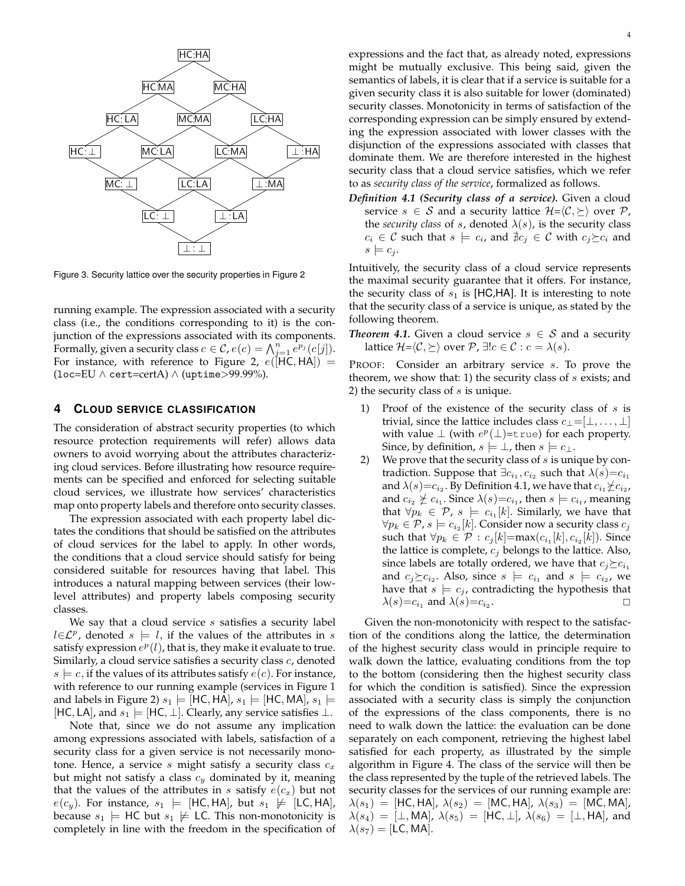

Figure 3. Security lattice over the security properties in Figure 2

running example. The expression associated with a security class (i.e., the conditions corresponding to it) is the conjunction of the expressions associated with its components. Formally, given a security class  $c \in \mathcal{C}$ ,  $e(c) = \bigwedge_{j=1}^{n} e^{p_j}(c[j])$ . For instance, with reference to Figure 2,  $e([HC, HA])$  =  $(loc=EU \wedge cert=certA) \wedge (uptime > 99.99\%).$ 

#### **4 CLOUD SERVICE CLASSIFICATION**

The consideration of abstract security properties (to which resource protection requirements will refer) allows data owners to avoid worrying about the attributes characterizing cloud services. Before illustrating how resource requirements can be specified and enforced for selecting suitable cloud services, we illustrate how services' characteristics map onto property labels and therefore onto security classes.

The expression associated with each property label dictates the conditions that should be satisfied on the attributes of cloud services for the label to apply. In other words, the conditions that a cloud service should satisfy for being considered suitable for resources having that label. This introduces a natural mapping between services (their lowlevel attributes) and property labels composing security classes.

We say that a cloud service  $s$  satisfies a security label  $l \in \mathcal{L}^p$ , denoted  $s \models l$ , if the values of the attributes in s satisfy expression  $e^p(l)$ , that is, they make it evaluate to true. Similarly, a cloud service satisfies a security class c, denoted  $s \models c$ , if the values of its attributes satisfy  $e(c)$ . For instance, with reference to our running example (services in Figure 1 and labels in Figure 2)  $s_1 \models$  [HC, HA],  $s_1 \models$  [HC, MA],  $s_1 \models$ [HC, LA], and  $s_1 \models$  [HC,  $\perp$ ]. Clearly, any service satisfies  $\perp$ .

Note that, since we do not assume any implication among expressions associated with labels, satisfaction of a security class for a given service is not necessarily monotone. Hence, a service s might satisfy a security class  $c_x$ but might not satisfy a class  $c_y$  dominated by it, meaning that the values of the attributes in s satisfy  $e(c_x)$  but not  $e(c_y)$ . For instance,  $s_1 \models [HC, HA]$ , but  $s_1 \not\models [LC, HA]$ , because  $s_1$   $\models$  HC but  $s_1 \not\models$  LC. This non-monotonicity is completely in line with the freedom in the specification of expressions and the fact that, as already noted, expressions might be mutually exclusive. This being said, given the semantics of labels, it is clear that if a service is suitable for a given security class it is also suitable for lower (dominated) security classes. Monotonicity in terms of satisfaction of the corresponding expression can be simply ensured by extending the expression associated with lower classes with the disjunction of the expressions associated with classes that dominate them. We are therefore interested in the highest security class that a cloud service satisfies, which we refer to as *security class of the service*, formalized as follows.

*Definition 4.1 (Security class of a service).* Given a cloud service  $s \in S$  and a security lattice  $\mathcal{H}=\langle \mathcal{C}, \succeq \rangle$  over  $\mathcal{P},$ the *security class* of *s*, denoted  $\lambda(s)$ , is the security class  $c_i \in \mathcal{C}$  such that  $s \models c_i$ , and  $\nexists c_j \in \mathcal{C}$  with  $c_j \succeq c_i$  and  $s \models c_i$ .

Intuitively, the security class of a cloud service represents the maximal security guarantee that it offers. For instance, the security class of  $s_1$  is [HC,HA]. It is interesting to note that the security class of a service is unique, as stated by the following theorem.

*Theorem 4.1.* Given a cloud service  $s \in S$  and a security lattice  $\mathcal{H}=\langle \mathcal{C}, \succeq \rangle$  over  $\mathcal{P}, \exists ! c \in \mathcal{C} : c = \lambda(s)$ .

PROOF: Consider an arbitrary service s. To prove the theorem, we show that: 1) the security class of  $s$  exists; and 2) the security class of  $s$  is unique.

- 1) Proof of the existence of the security class of  $s$  is trivial, since the lattice includes class  $c_{\perp} = [\perp, \ldots, \perp]$ with value  $\perp$  (with  $e^p(\perp)$ =true) for each property. Since, by definition,  $s \models \bot$ , then  $s \models c_{\bot}$ .
- 2) We prove that the security class of  $s$  is unique by contradiction. Suppose that  $\exists c_{i_1},c_{i_2}$  such that  $\lambda(s){=}c_{i_1}$ and  $\lambda(s){=}c_{i_2}.$  By Definition 4.1, we have that  $c_{i_1}\nsubseteq c_{i_2}$ , and  $c_{i_2} \not\succeq c_{i_1}$ . Since  $\lambda(s)=c_{i_1}$ , then  $s \models c_{i_1}$ , meaning that  $\forall p_k$   $\in$   $\mathcal{P},$   $s$   $\;\models$   $\;c_{i_1}[k].$  Similarly, we have that  $\forall p_k \in \mathcal{P}$ ,  $s \models c_{i_2}[k].$  Consider now a security class  $c_j$ such that  $\forall p_k \in \mathcal{P} : c_j[k] = \max(c_{i_1}[k], c_{i_2}[k])$ . Since the lattice is complete,  $c_j$  belongs to the lattice. Also, since labels are totally ordered, we have that  $c_i \succeq c_{i_1}$ and  $c_j \succeq c_{i_2}$ . Also, since  $s \models c_{i_1}$  and  $s \models c_{i_2}$ , we have that  $s \models c_j$ , contradicting the hypothesis that  $\lambda(s)=c_{i_1}$  and  $\lambda(s)=c_{i_2}$ .  $\Box$

Given the non-monotonicity with respect to the satisfaction of the conditions along the lattice, the determination of the highest security class would in principle require to walk down the lattice, evaluating conditions from the top to the bottom (considering then the highest security class for which the condition is satisfied). Since the expression associated with a security class is simply the conjunction of the expressions of the class components, there is no need to walk down the lattice: the evaluation can be done separately on each component, retrieving the highest label satisfied for each property, as illustrated by the simple algorithm in Figure 4. The class of the service will then be the class represented by the tuple of the retrieved labels. The security classes for the services of our running example are:  $\lambda(s_1) = [\text{HC}, \text{HA}], \ \lambda(s_2) = [\text{MC}, \text{HA}], \ \lambda(s_3) = [\text{MC}, \text{MA}],$  $\lambda(s_4) = [\perp, \text{MA}]$ ,  $\lambda(s_5) = [\text{HC}, \perp]$ ,  $\lambda(s_6) = [\perp, \text{HA}]$ , and  $\lambda(s_7) =$  [LC, MA].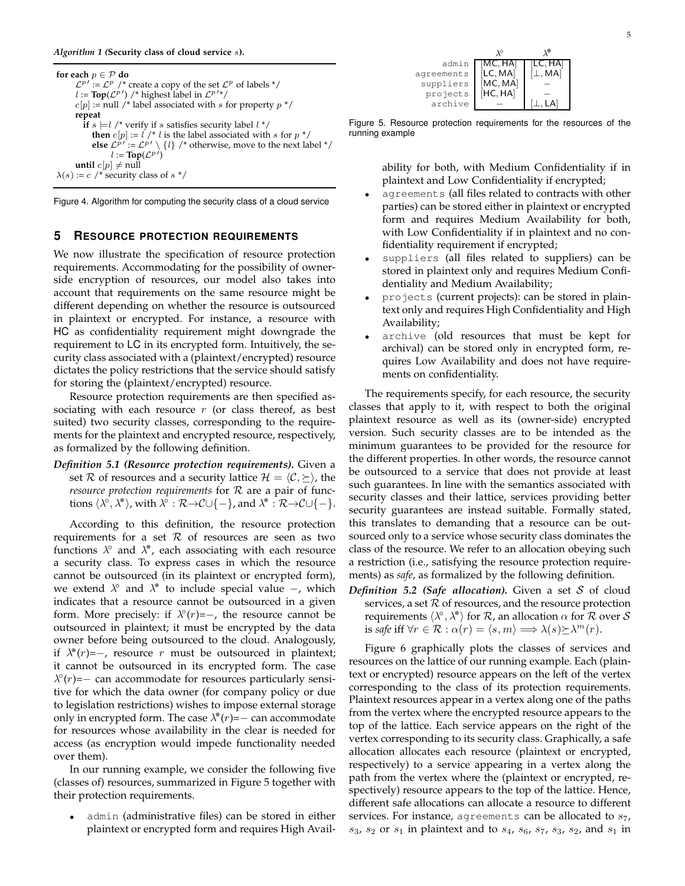**for each** p ∈ P **do**  $\mathcal{L}^{p'} := \mathcal{L}^p$  /\* create a copy of the set  $\mathcal{L}^p$  of labels \*/  $l := \text{Top}(\mathcal{L}^{p'})$  /\* highest label in  $\mathcal{L}^{p' *}/$  $c[p] := \text{null} / * \text{label}$  associated with s for property  $p * /$ **repeat if**  $s \models l$  /\* verify if s satisfies security label  $l^*/$ **then**  $c[p] := l'$  /\* l is the label associated with s for  $p'$  \*/ **else**  $\mathcal{L}^{p'} := \mathcal{L}^{p'} \setminus \{l\}$  /\* otherwise, move to the next label \*/  $l := \text{Top}(\mathcal{L}^{p})$ **until**  $c[p] \neq \text{null}$  $\lambda(s) := c$  /\* security class of  $s$  \*/



## **5 RESOURCE PROTECTION REQUIREMENTS**

We now illustrate the specification of resource protection requirements. Accommodating for the possibility of ownerside encryption of resources, our model also takes into account that requirements on the same resource might be different depending on whether the resource is outsourced in plaintext or encrypted. For instance, a resource with HC as confidentiality requirement might downgrade the requirement to LC in its encrypted form. Intuitively, the security class associated with a (plaintext/encrypted) resource dictates the policy restrictions that the service should satisfy for storing the (plaintext/encrypted) resource.

Resource protection requirements are then specified associating with each resource  $r$  (or class thereof, as best suited) two security classes, corresponding to the requirements for the plaintext and encrypted resource, respectively, as formalized by the following definition.

*Definition 5.1 (Resource protection requirements).* Given a set R of resources and a security lattice  $\mathcal{H} = \langle C, \succeq \rangle$ , the *resource protection requirements* for R are a pair of functions  $\langle \lambda^{\circ}, \lambda^{\circ} \rangle$ , with  $\lambda^{\circ} : \mathcal{R} \rightarrow \mathcal{C} \cup \{-\}$ , and  $\lambda^{\circ} : \mathcal{R} \rightarrow \mathcal{C} \cup \{-\}$ .

According to this definition, the resource protection requirements for a set  $R$  of resources are seen as two functions  $\lambda^{\circ}$  and  $\lambda^{\bullet}$ , each associating with each resource a security class. To express cases in which the resource cannot be outsourced (in its plaintext or encrypted form), we extend  $\lambda^{\circ}$  and  $\lambda^{\circ}$  to include special value –, which indicates that a resource cannot be outsourced in a given form. More precisely: if  $\lambda^{\circ}(r) = -$ , the resource cannot be outsourced in plaintext; it must be encrypted by the data owner before being outsourced to the cloud. Analogously, if  $\lambda^*(r) = -$ , resource r must be outsourced in plaintext; it cannot be outsourced in its encrypted form. The case  $\lambda^{\circ}(r)$  = – can accommodate for resources particularly sensitive for which the data owner (for company policy or due to legislation restrictions) wishes to impose external storage only in encrypted form. The case  $\lambda^*(r) = -$  can accommodate for resources whose availability in the clear is needed for access (as encryption would impede functionality needed over them).

In our running example, we consider the following five (classes of) resources, summarized in Figure 5 together with their protection requirements.

admin (administrative files) can be stored in either plaintext or encrypted form and requires High Avail-



Figure 5. Resource protection requirements for the resources of the running example

ability for both, with Medium Confidentiality if in plaintext and Low Confidentiality if encrypted;

- agreements (all files related to contracts with other parties) can be stored either in plaintext or encrypted form and requires Medium Availability for both, with Low Confidentiality if in plaintext and no confidentiality requirement if encrypted;
- suppliers (all files related to suppliers) can be stored in plaintext only and requires Medium Confidentiality and Medium Availability;
- projects (current projects): can be stored in plaintext only and requires High Confidentiality and High Availability;
- archive (old resources that must be kept for archival) can be stored only in encrypted form, requires Low Availability and does not have requirements on confidentiality.

The requirements specify, for each resource, the security classes that apply to it, with respect to both the original plaintext resource as well as its (owner-side) encrypted version. Such security classes are to be intended as the minimum guarantees to be provided for the resource for the different properties. In other words, the resource cannot be outsourced to a service that does not provide at least such guarantees. In line with the semantics associated with security classes and their lattice, services providing better security guarantees are instead suitable. Formally stated, this translates to demanding that a resource can be outsourced only to a service whose security class dominates the class of the resource. We refer to an allocation obeying such a restriction (i.e., satisfying the resource protection requirements) as *safe*, as formalized by the following definition.

*Definition 5.2 (Safe allocation).* Given a set S of cloud services, a set  $R$  of resources, and the resource protection requirements  $\langle \lambda^{\circ}, \lambda^{\circ} \rangle$  for  $\mathcal R$ , an allocation  $\alpha$  for  $\mathcal R$  over  $\mathcal S$ is *safe* iff  $\forall r \in \mathcal{R} : \alpha(r) = \langle s, m \rangle \Longrightarrow \lambda(s) \succeq \lambda^m(r)$ .

Figure 6 graphically plots the classes of services and resources on the lattice of our running example. Each (plaintext or encrypted) resource appears on the left of the vertex corresponding to the class of its protection requirements. Plaintext resources appear in a vertex along one of the paths from the vertex where the encrypted resource appears to the top of the lattice. Each service appears on the right of the vertex corresponding to its security class. Graphically, a safe allocation allocates each resource (plaintext or encrypted, respectively) to a service appearing in a vertex along the path from the vertex where the (plaintext or encrypted, respectively) resource appears to the top of the lattice. Hence, different safe allocations can allocate a resource to different services. For instance, agreements can be allocated to  $s_7$ ,  $s_3$ ,  $s_2$  or  $s_1$  in plaintext and to  $s_4$ ,  $s_6$ ,  $s_7$ ,  $s_3$ ,  $s_2$ , and  $s_1$  in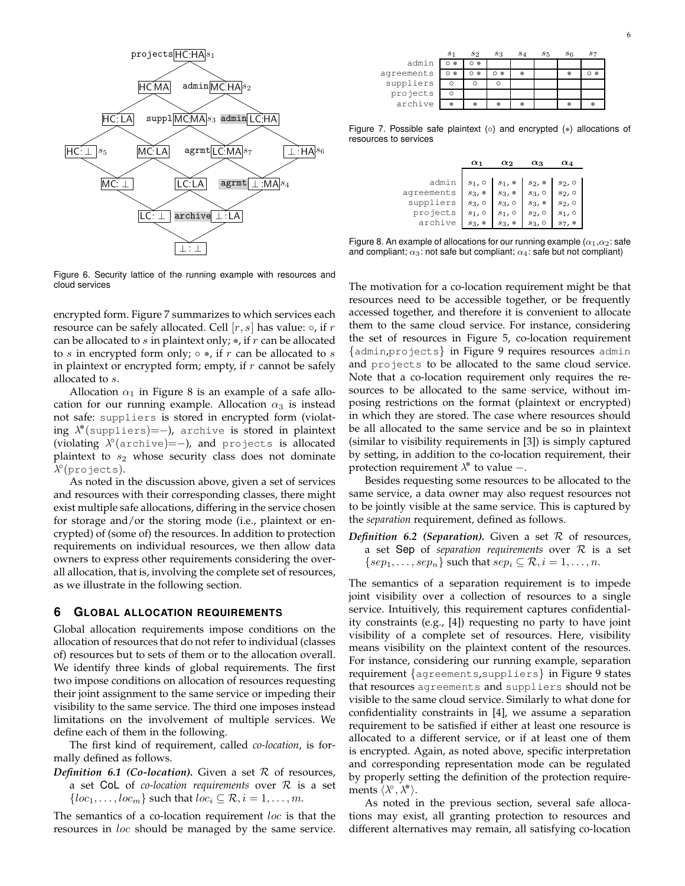

Figure 6. Security lattice of the running example with resources and cloud services

encrypted form. Figure 7 summarizes to which services each resource can be safely allocated. Cell  $[r, s]$  has value:  $\circ$ , if r can be allocated to s in plaintext only;  $\bullet$ , if r can be allocated to s in encrypted form only;  $\circ \bullet$ , if r can be allocated to s in plaintext or encrypted form; empty, if  $r$  cannot be safely allocated to s.

Allocation  $\alpha_1$  in Figure 8 is an example of a safe allocation for our running example. Allocation  $\alpha_3$  is instead not safe: suppliers is stored in encrypted form (violating  $\lambda^*(\text{suppliers})=-$ ), archive is stored in plaintext (violating  $\lambda^{\circ}$ (archive)=-), and projects is allocated plaintext to  $s_2$  whose security class does not dominate  $\lambda^{\circ}$ (projects).

As noted in the discussion above, given a set of services and resources with their corresponding classes, there might exist multiple safe allocations, differing in the service chosen for storage and/or the storing mode (i.e., plaintext or encrypted) of (some of) the resources. In addition to protection requirements on individual resources, we then allow data owners to express other requirements considering the overall allocation, that is, involving the complete set of resources, as we illustrate in the following section.

#### **6 GLOBAL ALLOCATION REQUIREMENTS**

Global allocation requirements impose conditions on the allocation of resources that do not refer to individual (classes of) resources but to sets of them or to the allocation overall. We identify three kinds of global requirements. The first two impose conditions on allocation of resources requesting their joint assignment to the same service or impeding their visibility to the same service. The third one imposes instead limitations on the involvement of multiple services. We define each of them in the following.

The first kind of requirement, called *co-location*, is formally defined as follows.

*Definition 6.1 (Co-location).* Given a set  $R$  of resources, a set CoL of *co-location requirements* over R is a set  $\{loc_1, \ldots, loc_m\}$  such that  $loc_i \subseteq \mathcal{R}, i = 1, \ldots, m$ .

The semantics of a co-location requirement  $loc$  is that the resources in *loc* should be managed by the same service.

|            | S                 | S9              | $s_3$ | $s_{5}$ | S6. |  |
|------------|-------------------|-----------------|-------|---------|-----|--|
| admin      | $\circ$           | $\circ$ $\circ$ |       |         |     |  |
| agreements | $\circ$ $\bullet$ |                 |       |         |     |  |
| suppliers  | Ω                 |                 |       |         |     |  |
| projects   |                   |                 |       |         |     |  |
| archive    |                   |                 |       |         |     |  |

Figure 7. Possible safe plaintext (◦) and encrypted (•) allocations of resources to services

|            | $\alpha_1$      | $\alpha_2$       | $\alpha_3$ | $\alpha_{\rm A}$   |
|------------|-----------------|------------------|------------|--------------------|
|            |                 |                  |            |                    |
| admin      | $s_1$ , $\circ$ | $s_1$ ,          | $s_2$ ,    | $s_2$ , $\circ$    |
| agreements |                 | $s_3$            | $s_3$      | $\circ$<br>$s_2$ , |
| suppliers  | O               | $s_3$<br>$\circ$ | $s_3$      | $\circ$<br>$s_2$   |
| projects   | O<br>$s_1$ ,    |                  | $s_2$ ,    | $\circ$<br>$s_1$ , |
| archive    |                 |                  | $s_{3}.$   |                    |

Figure 8. An example of allocations for our running example  $(\alpha_1, \alpha_2)$ : safe and compliant;  $\alpha_3$ : not safe but compliant;  $\alpha_4$ : safe but not compliant)

The motivation for a co-location requirement might be that resources need to be accessible together, or be frequently accessed together, and therefore it is convenient to allocate them to the same cloud service. For instance, considering the set of resources in Figure 5, co-location requirement {admin,projects} in Figure 9 requires resources admin and projects to be allocated to the same cloud service. Note that a co-location requirement only requires the resources to be allocated to the same service, without imposing restrictions on the format (plaintext or encrypted) in which they are stored. The case where resources should be all allocated to the same service and be so in plaintext (similar to visibility requirements in [3]) is simply captured by setting, in addition to the co-location requirement, their protection requirement  $\lambda^*$  to value –.

Besides requesting some resources to be allocated to the same service, a data owner may also request resources not to be jointly visible at the same service. This is captured by the *separation* requirement, defined as follows.

*Definition 6.2 (Separation).* Given a set  $\mathcal{R}$  of resources, a set Sep of *separation requirements* over R is a set  $\{sep_1, \ldots, sep_n\}$  such that  $sep_i \subseteq \mathcal{R}, i = 1, \ldots, n$ .

The semantics of a separation requirement is to impede joint visibility over a collection of resources to a single service. Intuitively, this requirement captures confidentiality constraints (e.g., [4]) requesting no party to have joint visibility of a complete set of resources. Here, visibility means visibility on the plaintext content of the resources. For instance, considering our running example, separation requirement {agreements,suppliers} in Figure 9 states that resources agreements and suppliers should not be visible to the same cloud service. Similarly to what done for confidentiality constraints in [4], we assume a separation requirement to be satisfied if either at least one resource is allocated to a different service, or if at least one of them is encrypted. Again, as noted above, specific interpretation and corresponding representation mode can be regulated by properly setting the definition of the protection requirements  $\langle \lambda^\circ, \lambda^\bullet \rangle$ .

As noted in the previous section, several safe allocations may exist, all granting protection to resources and different alternatives may remain, all satisfying co-location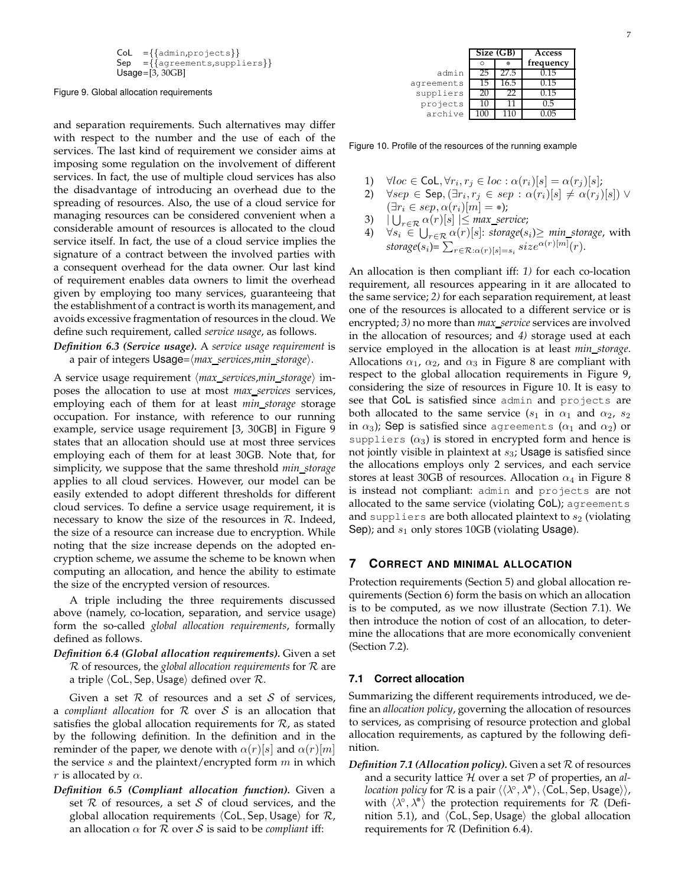$Col = \{\{\text{admin}, \text{proof} \} \}$ Sep ={{agreements,suppliers}} Usage=[3, 30GB]

Figure 9. Global allocation requirements

and separation requirements. Such alternatives may differ with respect to the number and the use of each of the services. The last kind of requirement we consider aims at imposing some regulation on the involvement of different services. In fact, the use of multiple cloud services has also the disadvantage of introducing an overhead due to the spreading of resources. Also, the use of a cloud service for managing resources can be considered convenient when a considerable amount of resources is allocated to the cloud service itself. In fact, the use of a cloud service implies the signature of a contract between the involved parties with a consequent overhead for the data owner. Our last kind of requirement enables data owners to limit the overhead given by employing too many services, guaranteeing that the establishment of a contract is worth its management, and avoids excessive fragmentation of resources in the cloud. We define such requirement, called *service usage*, as follows.

*Definition 6.3 (Service usage).* A *service usage requirement* is a pair of integers Usage= $\langle max\_s$ *ervices*,*min\_storage* $\rangle$ .

A service usage requirement  $\langle max\_s$ *ervices*,*min\_storage* $\rangle$  imposes the allocation to use at most *max services* services, employing each of them for at least *min storage* storage occupation. For instance, with reference to our running example, service usage requirement [3, 30GB] in Figure 9 states that an allocation should use at most three services employing each of them for at least 30GB. Note that, for simplicity, we suppose that the same threshold *min storage* applies to all cloud services. However, our model can be easily extended to adopt different thresholds for different cloud services. To define a service usage requirement, it is necessary to know the size of the resources in  $R$ . Indeed, the size of a resource can increase due to encryption. While noting that the size increase depends on the adopted encryption scheme, we assume the scheme to be known when computing an allocation, and hence the ability to estimate the size of the encrypted version of resources.

A triple including the three requirements discussed above (namely, co-location, separation, and service usage) form the so-called *global allocation requirements*, formally defined as follows.

*Definition 6.4 (Global allocation requirements).* Given a set R of resources, the *global allocation requirements* for R are a triple  $\langle$ CoL, Sep, Usage $\rangle$  defined over  $\mathcal{R}$ .

Given a set  $R$  of resources and a set  $S$  of services, a *compliant allocation* for R over S is an allocation that satisfies the global allocation requirements for  $\mathcal{R}$ , as stated by the following definition. In the definition and in the reminder of the paper, we denote with  $\alpha(r)[s]$  and  $\alpha(r)[m]$ the service  $s$  and the plaintext/encrypted form  $m$  in which r is allocated by  $\alpha$ .

*Definition 6.5 (Compliant allocation function).* Given a set  $R$  of resources, a set  $S$  of cloud services, and the global allocation requirements  $\langle Col, Sep,Usage\rangle$  for  $\mathcal{R}$ , an allocation  $\alpha$  for  $R$  over  $S$  is said to be *compliant* iff:

|            |     | Size (GB) | <b>Access</b> |
|------------|-----|-----------|---------------|
|            |     |           | frequency     |
| admin      | ר.י |           | 0.15          |
| agreements | ר ו |           | 115           |
| suppliers  |     |           | 115           |
| projects   |     |           | h             |
| archive    |     |           |               |

Figure 10. Profile of the resources of the running example

- 1)  $\forall loc \in \mathsf{Col}, \forall r_i, r_j \in loc : \alpha(r_i)[s] = \alpha(r_j)[s];$
- 2)  $\forall sep \in \mathsf{Sep}, (\exists r_i, r_j \in sep: \alpha(r_i)[s] \neq \alpha(r_j)[s]) \vee$  $(\exists r_i \in sep, \alpha(r_i)[m] = \bullet);$
- 3) |  $\bigcup_{r \in \mathcal{R}} \alpha(r)[s] \mid \leq \textit{max\_service};$
- 4)  $\forall s_i \in \bigcup_{r \in \mathcal{R}} \alpha(r)[s]$ : storage $(s_i)$  $\geq$  min\_storage, with storage(s<sub>i</sub>)=  $\sum_{r \in \mathcal{R} : \alpha(r)[s] = s_i} size^{\alpha(r)[m]}(r)$ .

An allocation is then compliant iff: *1)* for each co-location requirement, all resources appearing in it are allocated to the same service; *2)* for each separation requirement, at least one of the resources is allocated to a different service or is encrypted; *3)* no more than *max service* services are involved in the allocation of resources; and *4)* storage used at each service employed in the allocation is at least *min storage*. Allocations  $\alpha_1$ ,  $\alpha_2$ , and  $\alpha_3$  in Figure 8 are compliant with respect to the global allocation requirements in Figure 9, considering the size of resources in Figure 10. It is easy to see that CoL is satisfied since admin and projects are both allocated to the same service ( $s_1$  in  $\alpha_1$  and  $\alpha_2$ ,  $s_2$ in  $\alpha_3$ ); Sep is satisfied since agreements ( $\alpha_1$  and  $\alpha_2$ ) or suppliers  $(\alpha_3)$  is stored in encrypted form and hence is not jointly visible in plaintext at  $s_3$ ; Usage is satisfied since the allocations employs only 2 services, and each service stores at least 30GB of resources. Allocation  $\alpha_4$  in Figure 8 is instead not compliant: admin and projects are not allocated to the same service (violating CoL); agreements and suppliers are both allocated plaintext to  $s_2$  (violating Sep); and  $s_1$  only stores 10GB (violating Usage).

# **7 CORRECT AND MINIMAL ALLOCATION**

Protection requirements (Section 5) and global allocation requirements (Section 6) form the basis on which an allocation is to be computed, as we now illustrate (Section 7.1). We then introduce the notion of cost of an allocation, to determine the allocations that are more economically convenient (Section 7.2).

#### **7.1 Correct allocation**

Summarizing the different requirements introduced, we define an *allocation policy*, governing the allocation of resources to services, as comprising of resource protection and global allocation requirements, as captured by the following definition.

*Definition 7.1 (Allocation policy).* Given a set R of resources and a security lattice H over a set P of properties, an *al*location policy for  ${\cal R}$  is a pair  $\langle\langle \lambda^\circ,\lambda^\bullet\rangle, \langle\mathsf{Col},\mathsf{Sep},\mathsf{Usage}\rangle\rangle$ , with  $\langle \lambda^{\circ}, \lambda^{\circ} \rangle$  the protection requirements for  $\mathcal R$  (Definition 5.1), and  $\langle Col, Sep,Usage\rangle$  the global allocation requirements for  $R$  (Definition 6.4).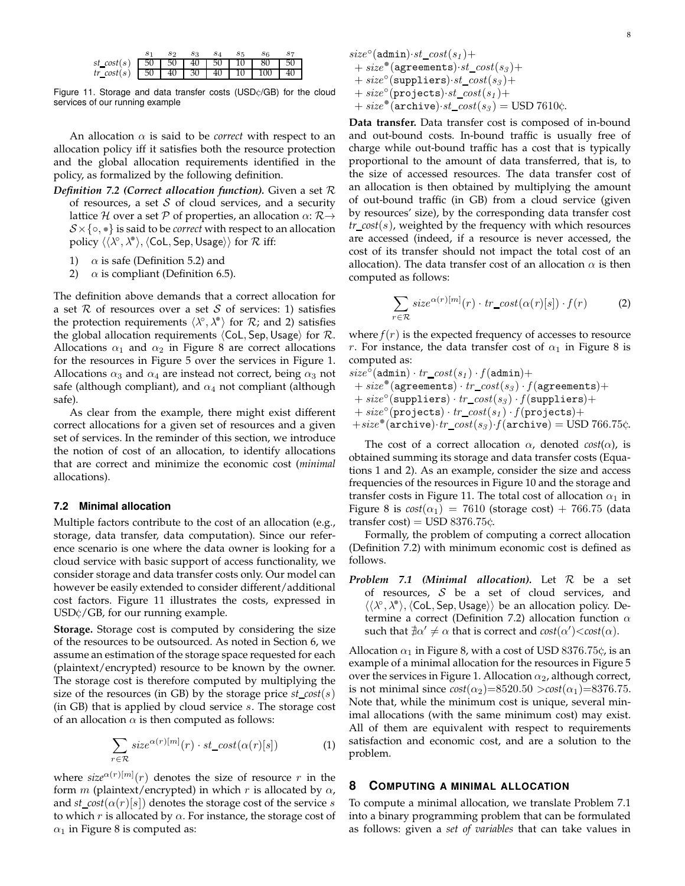| $st\_cost(s)$   50   50   40   50   10   80   50  |  |  |  |  |
|---------------------------------------------------|--|--|--|--|
| $tr\_cost(s)$   50   40   30   40   10   100   40 |  |  |  |  |

Figure 11. Storage and data transfer costs (USD¢/GB) for the cloud services of our running example

An allocation  $\alpha$  is said to be *correct* with respect to an allocation policy iff it satisfies both the resource protection and the global allocation requirements identified in the policy, as formalized by the following definition.

- *Definition 7.2 (Correct allocation function).* Given a set R of resources, a set  $S$  of cloud services, and a security lattice H over a set P of properties, an allocation  $\alpha$ :  $\mathcal{R} \rightarrow$ S×{◦, •} is said to be *correct* with respect to an allocation  $\text{policy } \langle \langle \lambda^\circ, \lambda^\bullet \rangle, \langle \textsf{Col}, \textsf{Sep}, \textsf{Usage} \rangle \rangle \text{ for } \mathcal{R} \text{ iff: }$ 
	- 1)  $\alpha$  is safe (Definition 5.2) and
	- 2)  $\alpha$  is compliant (Definition 6.5).

The definition above demands that a correct allocation for a set  $R$  of resources over a set S of services: 1) satisfies the protection requirements  $\langle \lambda^{\circ}, \lambda^{\circ} \rangle$  for  $\mathcal{R}$ ; and 2) satisfies the global allocation requirements  $\langle Col, Sep,Usage\rangle$  for  $\mathcal{R}$ . Allocations  $\alpha_1$  and  $\alpha_2$  in Figure 8 are correct allocations for the resources in Figure 5 over the services in Figure 1. Allocations  $\alpha_3$  and  $\alpha_4$  are instead not correct, being  $\alpha_3$  not safe (although compliant), and  $\alpha_4$  not compliant (although safe).

As clear from the example, there might exist different correct allocations for a given set of resources and a given set of services. In the reminder of this section, we introduce the notion of cost of an allocation, to identify allocations that are correct and minimize the economic cost (*minimal* allocations).

#### **7.2 Minimal allocation**

Multiple factors contribute to the cost of an allocation (e.g., storage, data transfer, data computation). Since our reference scenario is one where the data owner is looking for a cloud service with basic support of access functionality, we consider storage and data transfer costs only. Our model can however be easily extended to consider different/additional cost factors. Figure 11 illustrates the costs, expressed in USD¢/GB, for our running example.

**Storage.** Storage cost is computed by considering the size of the resources to be outsourced. As noted in Section 6, we assume an estimation of the storage space requested for each (plaintext/encrypted) resource to be known by the owner. The storage cost is therefore computed by multiplying the size of the resources (in GB) by the storage price  $st\_cost(s)$ (in GB) that is applied by cloud service  $s$ . The storage cost of an allocation  $\alpha$  is then computed as follows:

$$
\sum_{r \in \mathcal{R}} size^{\alpha(r)[m]}(r) \cdot st\_cost(\alpha(r)[s]) \tag{1}
$$

where  $size^{\alpha(r)[m]}(r)$  denotes the size of resource  $r$  in the form *m* (plaintext/encrypted) in which *r* is allocated by  $\alpha$ , and  $st\_cost(\alpha(r)[s])$  denotes the storage cost of the service s to which r is allocated by  $\alpha$ . For instance, the storage cost of  $\alpha_1$  in Figure 8 is computed as:

$$
size^{\circ}(\texttt{admin}) \cdot st\_cost(s_1) +
$$

- $+ size^{\bullet}$ (agreements)· $st\_cost(s_3)$ +  $+ size^{\circ}$ (suppliers) $\cdot st\_cost(s_3) +$
- $+ \textit{size}^{\circ}(\texttt{projets}){\cdot}st\_cost(s_1)+$
- $+ size$ <sup>•</sup>(archive)·st\_cost(s<sub>3</sub>) = USD 7610 $\phi$ .

**Data transfer.** Data transfer cost is composed of in-bound and out-bound costs. In-bound traffic is usually free of charge while out-bound traffic has a cost that is typically proportional to the amount of data transferred, that is, to the size of accessed resources. The data transfer cost of an allocation is then obtained by multiplying the amount of out-bound traffic (in GB) from a cloud service (given by resources' size), by the corresponding data transfer cost *tr cost*(s), weighted by the frequency with which resources are accessed (indeed, if a resource is never accessed, the cost of its transfer should not impact the total cost of an allocation). The data transfer cost of an allocation  $\alpha$  is then computed as follows:

$$
\sum_{r \in \mathcal{R}} size^{\alpha(r)[m]}(r) \cdot tr\_cost(\alpha(r)[s]) \cdot f(r) \tag{2}
$$

where  $f(r)$  is the expected frequency of accesses to resource r. For instance, the data transfer cost of  $\alpha_1$  in Figure 8 is computed as:

- $size^{\circ}$ (admin) ·  $tr\_cost(s_1) \cdot f$ (admin)+
- $+ size$ <sup>•</sup>(agreements) ·  $tr\_cost(s_3)$  ·  $f$ (agreements) +
- $+ \textit{ size}^{\circ}(\textsf{suppliers}) \cdot \textit{tr\_cost}(s_{\beta}) \cdot f(\textsf{suppliers}) +$

 $+ \text{ } size^{\circ}(\text{projects}) \cdot \textit{tr}\_\textit{cost}(s_1) \cdot f(\textit{projects}) +$ 

 $+size^{\bullet}$  (archive)· $tr\_cost(s_3) \cdot f$  (archive) = USD 766.75 $c$ .

The cost of a correct allocation  $\alpha$ , denoted *cost*( $\alpha$ ), is obtained summing its storage and data transfer costs (Equations 1 and 2). As an example, consider the size and access frequencies of the resources in Figure 10 and the storage and transfer costs in Figure 11. The total cost of allocation  $\alpha_1$  in Figure 8 is  $cost(\alpha_1) = 7610$  (storage cost) + 766.75 (data transfer cost) = USD 8376.75 $\dot{\rm c}$ .

Formally, the problem of computing a correct allocation (Definition 7.2) with minimum economic cost is defined as follows.

*Problem 7.1 (Minimal allocation).* Let R be a set of resources, S be a set of cloud services, and  $\langle\langle \lambda^{\circ}, \lambda^{\circ}\rangle$ ,  $\langle$ CoL, Sep, Usage $\rangle\rangle$  be an allocation policy. Determine a correct (Definition 7.2) allocation function  $\alpha$ such that  $\sharp\alpha'\neq\alpha$  that is correct and  $cost(\alpha').$ 

Allocation  $\alpha_1$  in Figure 8, with a cost of USD 8376.75 $\dot{\varsigma}$ , is an example of a minimal allocation for the resources in Figure 5 over the services in Figure 1. Allocation  $\alpha_2$ , although correct, is not minimal since  $cost(\alpha_2) = 8520.50 > cost(\alpha_1) = 8376.75$ . Note that, while the minimum cost is unique, several minimal allocations (with the same minimum cost) may exist. All of them are equivalent with respect to requirements satisfaction and economic cost, and are a solution to the problem.

## **8 COMPUTING A MINIMAL ALLOCATION**

To compute a minimal allocation, we translate Problem 7.1 into a binary programming problem that can be formulated as follows: given a *set of variables* that can take values in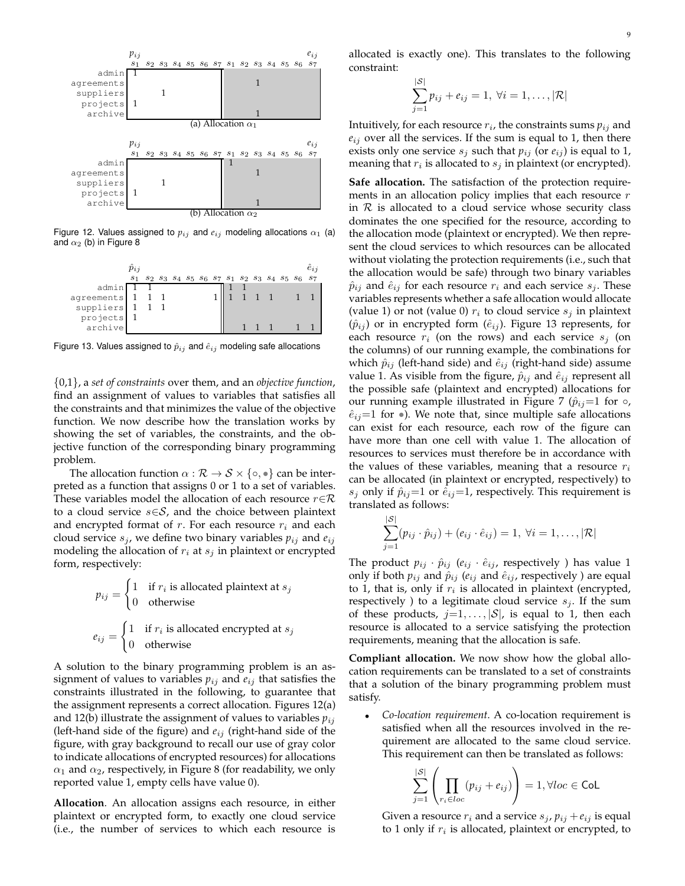

Figure 12. Values assigned to  $p_{ij}$  and  $e_{ij}$  modeling allocations  $\alpha_1$  (a) and  $\alpha_2$  (b) in Figure 8



Figure 13. Values assigned to  $\hat{p}_{ij}$  and  $\hat{e}_{ij}$  modeling safe allocations

{0,1}, a *set of constraints* over them, and an *objective function*, find an assignment of values to variables that satisfies all the constraints and that minimizes the value of the objective function. We now describe how the translation works by showing the set of variables, the constraints, and the objective function of the corresponding binary programming problem.

The allocation function  $\alpha : \mathcal{R} \to \mathcal{S} \times \{ \circ, \bullet \}$  can be interpreted as a function that assigns 0 or 1 to a set of variables. These variables model the allocation of each resource  $r \in \mathcal{R}$ to a cloud service  $s \in S$ , and the choice between plaintext and encrypted format of  $r$ . For each resource  $r_i$  and each cloud service  $s_j$ , we define two binary variables  $p_{ij}$  and  $e_{ij}$ modeling the allocation of  $r_i$  at  $s_j$  in plaintext or encrypted form, respectively:

$$
p_{ij} = \begin{cases} 1 & \text{if } r_i \text{ is allocated plaintext at } s_j \\ 0 & \text{otherwise} \end{cases}
$$

$$
e_{ij} = \begin{cases} 1 & \text{if } r_i \text{ is allocated encrypted at } s_j \\ 0 & \text{otherwise} \end{cases}
$$

A solution to the binary programming problem is an assignment of values to variables  $p_{ij}$  and  $e_{ij}$  that satisfies the constraints illustrated in the following, to guarantee that the assignment represents a correct allocation. Figures 12(a) and 12(b) illustrate the assignment of values to variables  $p_{ij}$ (left-hand side of the figure) and *e*ij (right-hand side of the figure, with gray background to recall our use of gray color to indicate allocations of encrypted resources) for allocations  $\alpha_1$  and  $\alpha_2$ , respectively, in Figure 8 (for readability, we only reported value 1, empty cells have value 0).

**Allocation**. An allocation assigns each resource, in either plaintext or encrypted form, to exactly one cloud service (i.e., the number of services to which each resource is

allocated is exactly one). This translates to the following constraint:

$$
\sum_{j=1}^{|{\mathcal{S}}|} p_{ij}+e_{ij}=1, \ \forall i=1,\ldots,|{\mathcal{R}}|
$$

Intuitively, for each resource  $r_i$ , the constraints sums  $p_{ij}$  and  $e_{ij}$  over all the services. If the sum is equal to 1, then there exists only one service  $s_j$  such that  $p_{ij}$  (or  $e_{ij}$ ) is equal to 1, meaning that  $r_i$  is allocated to  $s_j$  in plaintext (or encrypted).

**Safe allocation.** The satisfaction of the protection requirements in an allocation policy implies that each resource  $r$ in  $R$  is allocated to a cloud service whose security class dominates the one specified for the resource, according to the allocation mode (plaintext or encrypted). We then represent the cloud services to which resources can be allocated without violating the protection requirements (i.e., such that the allocation would be safe) through two binary variables  $\hat{p}_{ij}$  and  $\hat{e}_{ij}$  for each resource  $r_i$  and each service  $s_j$ . These variables represents whether a safe allocation would allocate (value 1) or not (value 0)  $r_i$  to cloud service  $s_j$  in plaintext  $(\hat{p}_{ij})$  or in encrypted form  $(\hat{e}_{ij})$ . Figure 13 represents, for each resource  $r_i$  (on the rows) and each service  $s_j$  (on the columns) of our running example, the combinations for which  $\hat{p}_{ij}$  (left-hand side) and  $\hat{e}_{ij}$  (right-hand side) assume value 1. As visible from the figure,  $\hat{p}_{ij}$  and  $\hat{e}_{ij}$  represent all the possible safe (plaintext and encrypted) allocations for our running example illustrated in Figure 7 ( $\hat{p}_{ij}=1$  for  $\circ$ ,  $\hat{e}_{ij}=1$  for •). We note that, since multiple safe allocations can exist for each resource, each row of the figure can have more than one cell with value 1. The allocation of resources to services must therefore be in accordance with the values of these variables, meaning that a resource  $r_i$ can be allocated (in plaintext or encrypted, respectively) to  $s_i$  only if  $\hat{p}_{ij}=1$  or  $\hat{e}_{ij}=1$ , respectively. This requirement is translated as follows:

$$
\sum_{j=1}^{|S|} (p_{ij} \cdot \hat{p}_{ij}) + (e_{ij} \cdot \hat{e}_{ij}) = 1, \ \forall i = 1, ..., |R|
$$

The product  $p_{ij} \cdot \hat{p}_{ij}$  ( $e_{ij} \cdot \hat{e}_{ij}$ , respectively ) has value 1 only if both  $p_{ij}$  and  $\hat{p}_{ij}$  ( $e_{ij}$  and  $\hat{e}_{ij}$ , respectively) are equal to 1, that is, only if  $r_i$  is allocated in plaintext (encrypted, respectively ) to a legitimate cloud service  $s_i$ . If the sum of these products,  $j=1,\ldots, |\mathcal{S}|$ , is equal to 1, then each resource is allocated to a service satisfying the protection requirements, meaning that the allocation is safe.

**Compliant allocation.** We now show how the global allocation requirements can be translated to a set of constraints that a solution of the binary programming problem must satisfy.

• *Co-location requirement*. A co-location requirement is satisfied when all the resources involved in the requirement are allocated to the same cloud service. This requirement can then be translated as follows:

$$
\sum_{j=1}^{|S|} \left( \prod_{r_i \in loc} (p_{ij} + e_{ij}) \right) = 1, \forall loc \in \text{Col.}
$$

Given a resource  $r_i$  and a service  $s_j$ ,  $p_{ij} + e_{ij}$  is equal to 1 only if  $r_i$  is allocated, plaintext or encrypted, to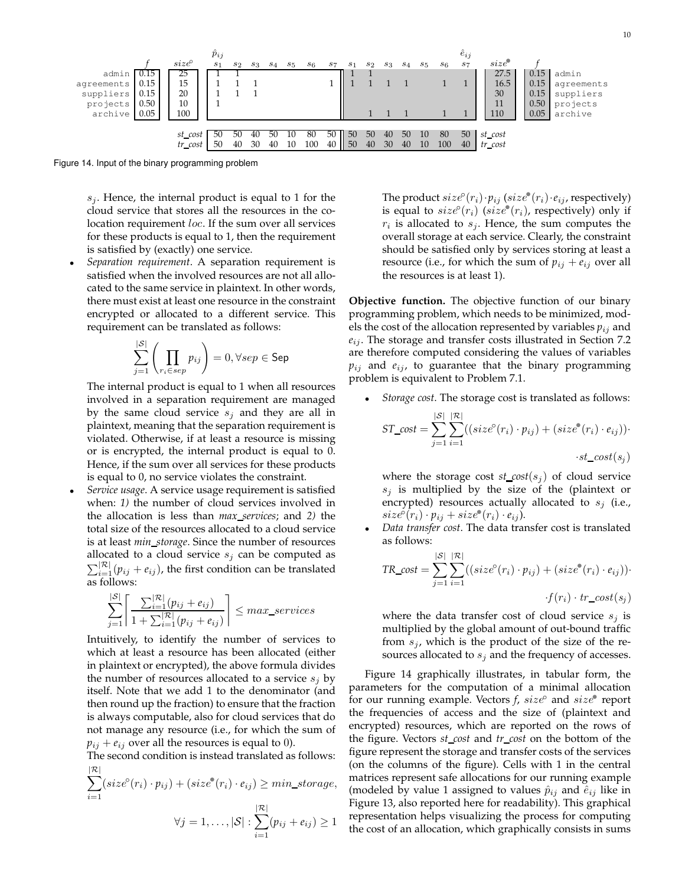

Figure 14. Input of the binary programming problem

 $s_i$ . Hence, the internal product is equal to 1 for the cloud service that stores all the resources in the colocation requirement loc. If the sum over all services for these products is equal to 1, then the requirement is satisfied by (exactly) one service.

• *Separation requirement*. A separation requirement is satisfied when the involved resources are not all allocated to the same service in plaintext. In other words, there must exist at least one resource in the constraint encrypted or allocated to a different service. This requirement can be translated as follows:

$$
\sum_{j=1}^{|S|} \left( \prod_{r_i \in sep} p_{ij} \right) = 0, \forall sep \in \text{Sep}
$$

The internal product is equal to 1 when all resources involved in a separation requirement are managed by the same cloud service  $s_i$  and they are all in plaintext, meaning that the separation requirement is violated. Otherwise, if at least a resource is missing or is encrypted, the internal product is equal to 0. Hence, if the sum over all services for these products is equal to 0, no service violates the constraint.

• *Service usage*. A service usage requirement is satisfied when: *1)* the number of cloud services involved in the allocation is less than *max services*; and *2)* the total size of the resources allocated to a cloud service is at least *min storage*. Since the number of resources allocated to a cloud service  $s_j$  can be computed as  $\sum_{i=1}^{|\mathcal{R}|} (p_{ij} + e_{ij})$ , the first condition can be translated as follows:

$$
\sum_{j=1}^{|S|} \left[ \frac{\sum_{i=1}^{|R|} (p_{ij} + e_{ij})}{1 + \sum_{i=1}^{|R|} (p_{ij} + e_{ij})} \right] \le max\_services
$$

Intuitively, to identify the number of services to which at least a resource has been allocated (either in plaintext or encrypted), the above formula divides the number of resources allocated to a service  $s_i$  by itself. Note that we add 1 to the denominator (and then round up the fraction) to ensure that the fraction is always computable, also for cloud services that do not manage any resource (i.e., for which the sum of  $p_{ij} + e_{ij}$  over all the resources is equal to 0).

The second condition is instead translated as follows:  $|R|$ 

$$
\sum_{i=1}^{N} (size^{\circ}(r_i) \cdot p_{ij}) + (size^{\circ}(r_i) \cdot e_{ij}) \geq min\_storage,
$$
  

$$
\forall j = 1, ..., |\mathcal{S}| : \sum_{i=1}^{|\mathcal{R}|} (p_{ij} + e_{ij}) \geq 1
$$

 $\overline{i=1}$ 

The product  $size^{\circ}(r_i)\cdot p_{ij}$  ( $size^{\bullet}(r_i)\cdot e_{ij}$ , respectively) is equal to  $size^{\circ}(r_i)$  (size  $(r_i)$ , respectively) only if  $r_i$  is allocated to  $s_j$ . Hence, the sum computes the overall storage at each service. Clearly, the constraint should be satisfied only by services storing at least a resource (i.e., for which the sum of  $p_{ij} + e_{ij}$  over all the resources is at least 1).

**Objective function.** The objective function of our binary programming problem, which needs to be minimized, models the cost of the allocation represented by variables  $p_{ij}$  and  $e_{ij}$ . The storage and transfer costs illustrated in Section 7.2 are therefore computed considering the values of variables  $p_{ij}$  and  $e_{ij}$ , to guarantee that the binary programming problem is equivalent to Problem 7.1.

• *Storage cost*. The storage cost is translated as follows:

$$
ST\_cost = \sum_{j=1}^{|S|} \sum_{i=1}^{|R|} ((size^{\circ}(r_i) \cdot p_{ij}) + (size^{\circ}(r_i) \cdot e_{ij})) \cdot st\_cost(s_j)
$$

where the storage cost  $st\_cost(s_j)$  of cloud service  $s_i$  is multiplied by the size of the (plaintext or encrypted) resources actually allocated to  $s_j$  (i.e.,  $size^{\circ}(r_i) \cdot p_{ij} + size^{\bullet}(r_i) \cdot e_{ij}).$ 

• *Data transfer cost*. The data transfer cost is translated as follows:

$$
TR\_cost = \sum_{j=1}^{|S|} \sum_{i=1}^{|R|} ((size^{\circ}(r_i) \cdot p_{ij}) + (size^{\circ}(r_i) \cdot e_{ij})) \cdot f(r_i) \cdot tr\_cost(s_j)
$$

where the data transfer cost of cloud service  $s_i$  is multiplied by the global amount of out-bound traffic from  $s_j$ , which is the product of the size of the resources allocated to  $s_j$  and the frequency of accesses.

Figure 14 graphically illustrates, in tabular form, the parameters for the computation of a minimal allocation for our running example. Vectors *f*, size<sup>°</sup> and size<sup>•</sup> report the frequencies of access and the size of (plaintext and encrypted) resources, which are reported on the rows of the figure. Vectors *st cost* and *tr cost* on the bottom of the figure represent the storage and transfer costs of the services (on the columns of the figure). Cells with 1 in the central matrices represent safe allocations for our running example (modeled by value 1 assigned to values  $\hat{p}_{ij}$  and  $\hat{e}_{ij}$  like in Figure 13, also reported here for readability). This graphical representation helps visualizing the process for computing the cost of an allocation, which graphically consists in sums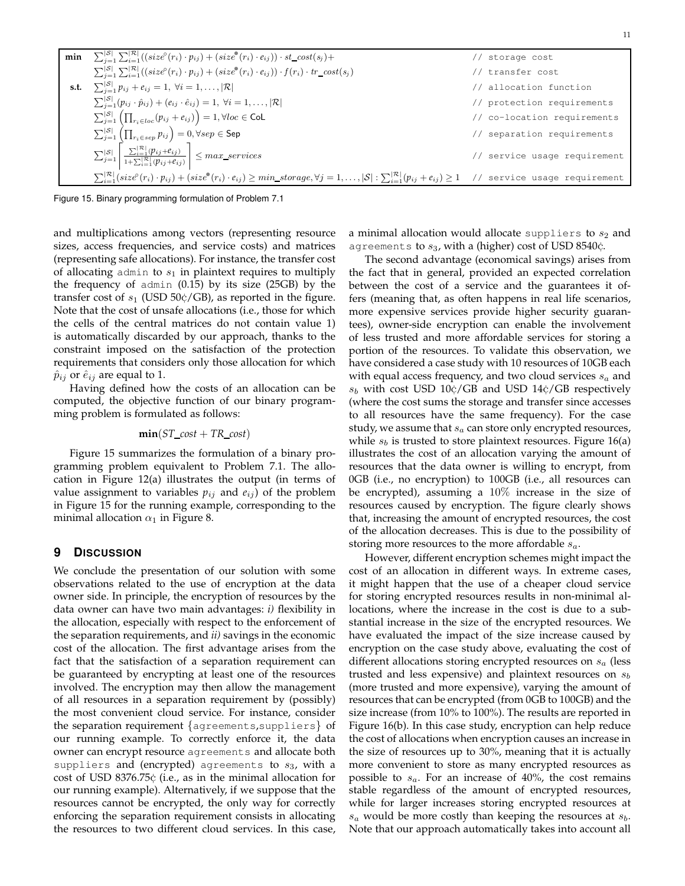| <b>min</b> $\sum_{i=1}^{ S } \sum_{i=1}^{ R } ((size^{\circ}(r_i) \cdot p_{ij}) + (size^{\circ}(r_i) \cdot e_{ij})) \cdot st\_cost(s_j) +$                                                                                   | storage cost                |
|------------------------------------------------------------------------------------------------------------------------------------------------------------------------------------------------------------------------------|-----------------------------|
| $\sum_{i=1}^{ S } \sum_{i=1}^{ R } ((size^{\circ}(r_i) \cdot p_{ij}) + (size^{\circ}(r_i) \cdot e_{ij})) \cdot f(r_i) \cdot tr\_cost(s_j)$                                                                                   | // transfer cost            |
| <b>s.t.</b> $\sum_{i=1}^{ S } p_{ij} + e_{ij} = 1, \forall i = 1, ,  R $                                                                                                                                                     | // allocation function      |
| $\sum_{i=1}^{ S } (p_{ij} \cdot \hat{p}_{ij}) + (e_{ij} \cdot \hat{e}_{ij}) = 1, \ \forall i = 1, \ldots,  \mathcal{R} $                                                                                                     | // protection requirements  |
| $\sum_{j=1}^{ S } \left( \prod_{r_i \in loc} (p_{ij} + e_{ij}) \right) = 1, \forall loc \in \textsf{Col}.$                                                                                                                   | // co-location requirements |
| $\sum_{j=1}^{ \mathcal{S} } \left( \prod_{r_i \in sep} p_{ij} \right) = 0, \forall sep \in \mathsf{Sep}$                                                                                                                     | // separation requirements  |
| $\sum_{j=1}^{ \mathcal{S} } \left  \frac{\sum_{i=1}^{ \mathcal{R} } (\hat{p}_{ij} + e_{ij})}{1 + \sum_{i=1}^{ \mathcal{R} } (\hat{p}_{ij} + e_{ij})} \right  \leq max\_serves$                                               | service usage requirement   |
| $\sum_{i=1}^{ \mathcal{R} } (size^o(r_i) \cdot p_{ij}) + (size^o(r_i) \cdot e_{ij}) \geq min\_storage, \forall j=1,\ldots,  \mathcal{S}  : \sum_{i=1}^{ \mathcal{R} } (p_{ij} + e_{ij}) \geq 1$ // service usage requirement |                             |

Figure 15. Binary programming formulation of Problem 7.1

and multiplications among vectors (representing resource sizes, access frequencies, and service costs) and matrices (representing safe allocations). For instance, the transfer cost of allocating admin to  $s_1$  in plaintext requires to multiply the frequency of admin (0.15) by its size (25GB) by the transfer cost of  $s_1$  (USD 50 $\dot{\rm c}$ /GB), as reported in the figure. Note that the cost of unsafe allocations (i.e., those for which the cells of the central matrices do not contain value 1) is automatically discarded by our approach, thanks to the constraint imposed on the satisfaction of the protection requirements that considers only those allocation for which  $\hat{p}_{ij}$  or  $\hat{e}_{ij}$  are equal to 1.

Having defined how the costs of an allocation can be computed, the objective function of our binary programming problem is formulated as follows:

$$
\min(ST\_cost + TR\_cost)
$$

Figure 15 summarizes the formulation of a binary programming problem equivalent to Problem 7.1. The allocation in Figure 12(a) illustrates the output (in terms of value assignment to variables  $p_{ij}$  and  $e_{ij}$ ) of the problem in Figure 15 for the running example, corresponding to the minimal allocation  $\alpha_1$  in Figure 8.

# **9 DISCUSSION**

We conclude the presentation of our solution with some observations related to the use of encryption at the data owner side. In principle, the encryption of resources by the data owner can have two main advantages: *i)* flexibility in the allocation, especially with respect to the enforcement of the separation requirements, and *ii)* savings in the economic cost of the allocation. The first advantage arises from the fact that the satisfaction of a separation requirement can be guaranteed by encrypting at least one of the resources involved. The encryption may then allow the management of all resources in a separation requirement by (possibly) the most convenient cloud service. For instance, consider the separation requirement {agreements,suppliers} of our running example. To correctly enforce it, the data owner can encrypt resource agreements and allocate both suppliers and (encrypted) agreements to  $s_3$ , with a cost of USD 8376.75¢ (i.e., as in the minimal allocation for our running example). Alternatively, if we suppose that the resources cannot be encrypted, the only way for correctly enforcing the separation requirement consists in allocating the resources to two different cloud services. In this case, a minimal allocation would allocate suppliers to  $s_2$  and agreements to  $s_3$ , with a (higher) cost of USD 8540 $\phi$ .

The second advantage (economical savings) arises from the fact that in general, provided an expected correlation between the cost of a service and the guarantees it offers (meaning that, as often happens in real life scenarios, more expensive services provide higher security guarantees), owner-side encryption can enable the involvement of less trusted and more affordable services for storing a portion of the resources. To validate this observation, we have considered a case study with 10 resources of 10GB each with equal access frequency, and two cloud services  $s_a$  and  $s_b$  with cost USD 10 $\dot{\rm c}$ /GB and USD 14 $\dot{\rm c}$ /GB respectively (where the cost sums the storage and transfer since accesses to all resources have the same frequency). For the case study, we assume that  $s_a$  can store only encrypted resources, while  $s_b$  is trusted to store plaintext resources. Figure 16(a) illustrates the cost of an allocation varying the amount of resources that the data owner is willing to encrypt, from 0GB (i.e., no encryption) to 100GB (i.e., all resources can be encrypted), assuming a  $10\%$  increase in the size of resources caused by encryption. The figure clearly shows that, increasing the amount of encrypted resources, the cost of the allocation decreases. This is due to the possibility of storing more resources to the more affordable  $s_a$ .

However, different encryption schemes might impact the cost of an allocation in different ways. In extreme cases, it might happen that the use of a cheaper cloud service for storing encrypted resources results in non-minimal allocations, where the increase in the cost is due to a substantial increase in the size of the encrypted resources. We have evaluated the impact of the size increase caused by encryption on the case study above, evaluating the cost of different allocations storing encrypted resources on  $s_a$  (less trusted and less expensive) and plaintext resources on  $s_b$ (more trusted and more expensive), varying the amount of resources that can be encrypted (from 0GB to 100GB) and the size increase (from 10% to 100%). The results are reported in Figure 16(b). In this case study, encryption can help reduce the cost of allocations when encryption causes an increase in the size of resources up to 30%, meaning that it is actually more convenient to store as many encrypted resources as possible to  $s_a$ . For an increase of 40%, the cost remains stable regardless of the amount of encrypted resources, while for larger increases storing encrypted resources at  $s_a$  would be more costly than keeping the resources at  $s_b$ . Note that our approach automatically takes into account all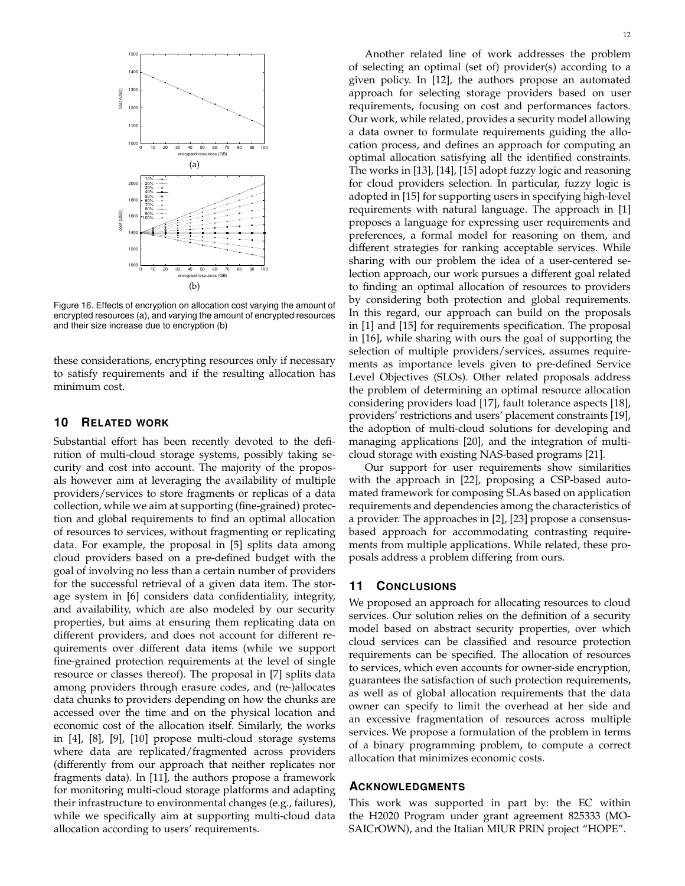

Figure 16. Effects of encryption on allocation cost varying the amount of encrypted resources (a), and varying the amount of encrypted resources and their size increase due to encryption (b)

these considerations, encrypting resources only if necessary to satisfy requirements and if the resulting allocation has minimum cost.

## **10 RELATED WORK**

Substantial effort has been recently devoted to the definition of multi-cloud storage systems, possibly taking security and cost into account. The majority of the proposals however aim at leveraging the availability of multiple providers/services to store fragments or replicas of a data collection, while we aim at supporting (fine-grained) protection and global requirements to find an optimal allocation of resources to services, without fragmenting or replicating data. For example, the proposal in [5] splits data among cloud providers based on a pre-defined budget with the goal of involving no less than a certain number of providers for the successful retrieval of a given data item. The storage system in [6] considers data confidentiality, integrity, and availability, which are also modeled by our security properties, but aims at ensuring them replicating data on different providers, and does not account for different requirements over different data items (while we support fine-grained protection requirements at the level of single resource or classes thereof). The proposal in [7] splits data among providers through erasure codes, and (re-)allocates data chunks to providers depending on how the chunks are accessed over the time and on the physical location and economic cost of the allocation itself. Similarly, the works in [4], [8], [9], [10] propose multi-cloud storage systems where data are replicated/fragmented across providers (differently from our approach that neither replicates nor fragments data). In [11], the authors propose a framework for monitoring multi-cloud storage platforms and adapting their infrastructure to environmental changes (e.g., failures), while we specifically aim at supporting multi-cloud data allocation according to users' requirements.

Another related line of work addresses the problem of selecting an optimal (set of) provider(s) according to a given policy. In [12], the authors propose an automated approach for selecting storage providers based on user requirements, focusing on cost and performances factors. Our work, while related, provides a security model allowing a data owner to formulate requirements guiding the allocation process, and defines an approach for computing an optimal allocation satisfying all the identified constraints. The works in [13], [14], [15] adopt fuzzy logic and reasoning for cloud providers selection. In particular, fuzzy logic is adopted in [15] for supporting users in specifying high-level requirements with natural language. The approach in [1] proposes a language for expressing user requirements and preferences, a formal model for reasoning on them, and different strategies for ranking acceptable services. While sharing with our problem the idea of a user-centered selection approach, our work pursues a different goal related to finding an optimal allocation of resources to providers by considering both protection and global requirements. In this regard, our approach can build on the proposals in [1] and [15] for requirements specification. The proposal in [16], while sharing with ours the goal of supporting the selection of multiple providers/services, assumes requirements as importance levels given to pre-defined Service Level Objectives (SLOs). Other related proposals address the problem of determining an optimal resource allocation considering providers load [17], fault tolerance aspects [18], providers' restrictions and users' placement constraints [19], the adoption of multi-cloud solutions for developing and managing applications [20], and the integration of multicloud storage with existing NAS-based programs [21].

Our support for user requirements show similarities with the approach in [22], proposing a CSP-based automated framework for composing SLAs based on application requirements and dependencies among the characteristics of a provider. The approaches in [2], [23] propose a consensusbased approach for accommodating contrasting requirements from multiple applications. While related, these proposals address a problem differing from ours.

#### **11 CONCLUSIONS**

We proposed an approach for allocating resources to cloud services. Our solution relies on the definition of a security model based on abstract security properties, over which cloud services can be classified and resource protection requirements can be specified. The allocation of resources to services, which even accounts for owner-side encryption, guarantees the satisfaction of such protection requirements, as well as of global allocation requirements that the data owner can specify to limit the overhead at her side and an excessive fragmentation of resources across multiple services. We propose a formulation of the problem in terms of a binary programming problem, to compute a correct allocation that minimizes economic costs.

#### **ACKNOWLEDGMENTS**

This work was supported in part by: the EC within the H2020 Program under grant agreement 825333 (MO-SAICrOWN), and the Italian MIUR PRIN project "HOPE".